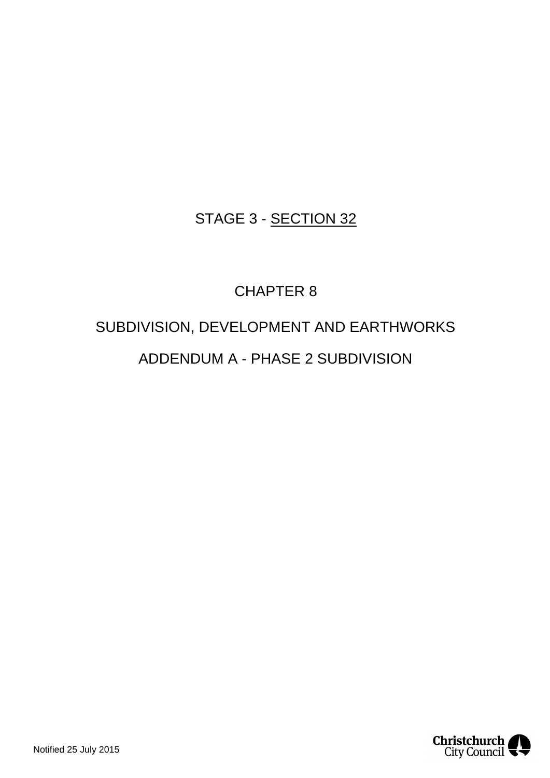# STAGE 3 - SECTION 32

# CHAPTER 8

# SUBDIVISION, DEVELOPMENT AND EARTHWORKS ADDENDUM A - PHASE 2 SUBDIVISION

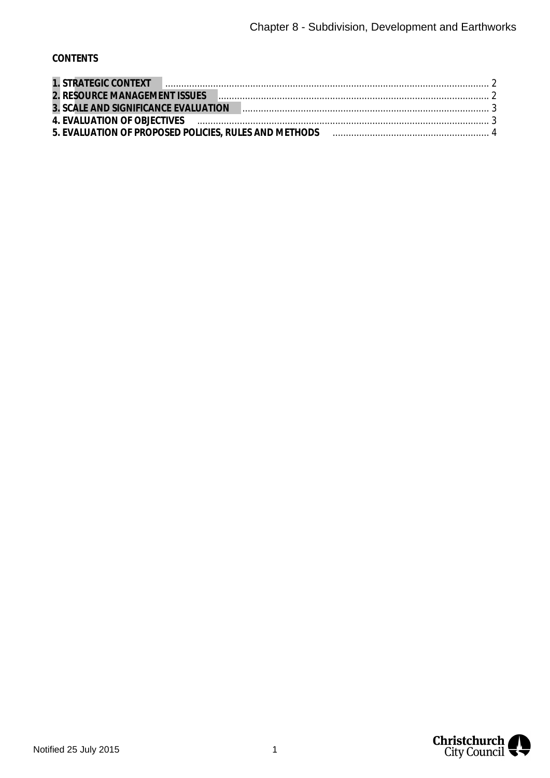## **CONTENTS**

| 1. STRATEGIC CONTEXT PRESENTING CONTEXT 2                                                                     |  |
|---------------------------------------------------------------------------------------------------------------|--|
|                                                                                                               |  |
| 3. SCALE AND SIGNIFICANCE EVALUATION                                                                          |  |
| 4. EVALUATION OF OBJECTIVES (and the contract of the contract of the contract of the contract of the contract |  |
|                                                                                                               |  |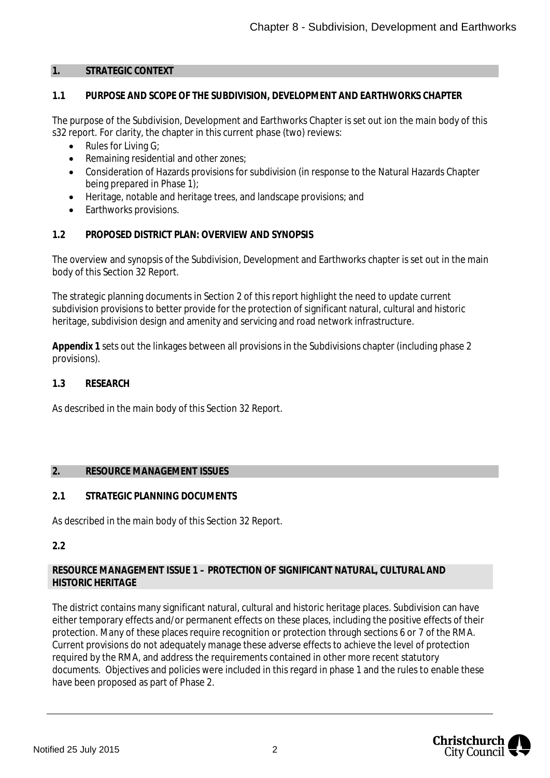#### <span id="page-2-0"></span>**1. STRATEGIC CONTEXT**

#### **1.1 PURPOSE AND SCOPE OF THE SUBDIVISION, DEVELOPMENT AND EARTHWORKS CHAPTER**

The purpose of the Subdivision, Development and Earthworks Chapter is set out ion the main body of this s32 report. For clarity, the chapter in this current phase (two) reviews:

- Rules for Living G;
- · Remaining residential and other zones;
- · Consideration of Hazards provisions for subdivision (in response to the Natural Hazards Chapter being prepared in Phase 1);
- · Heritage, notable and heritage trees, and landscape provisions; and
- Earthworks provisions.

#### **1.2 PROPOSED DISTRICT PLAN: OVERVIEW AND SYNOPSIS**

The overview and synopsis of the Subdivision, Development and Earthworks chapter is set out in the main body of this Section 32 Report.

The strategic planning documents in Section 2 of this report highlight the need to update current subdivision provisions to better provide for the protection of significant natural, cultural and historic heritage, subdivision design and amenity and servicing and road network infrastructure.

**Appendix 1** sets out the linkages between all provisions in the Subdivisions chapter (including phase 2 provisions).

**1.3 RESEARCH**

As described in the main body of this Section 32 Report.

#### <span id="page-2-1"></span>**2. RESOURCE MANAGEMENT ISSUES**

# **2.1 STRATEGIC PLANNING DOCUMENTS**

As described in the main body of this Section 32 Report.

**2.2**

#### **RESOURCE MANAGEMENT ISSUE 1 – PROTECTION OF SIGNIFICANT NATURAL, CULTURAL AND HISTORIC HERITAGE**

The district contains many significant natural, cultural and historic heritage places. Subdivision can have either temporary effects and/or permanent effects on these places, including the positive effects of their protection. Many of these places require recognition or protection through sections 6 or 7 of the RMA. Current provisions do not adequately manage these adverse effects to achieve the level of protection required by the RMA, and address the requirements contained in other more recent statutory documents. Objectives and policies were included in this regard in phase 1 and the rules to enable these have been proposed as part of Phase 2.

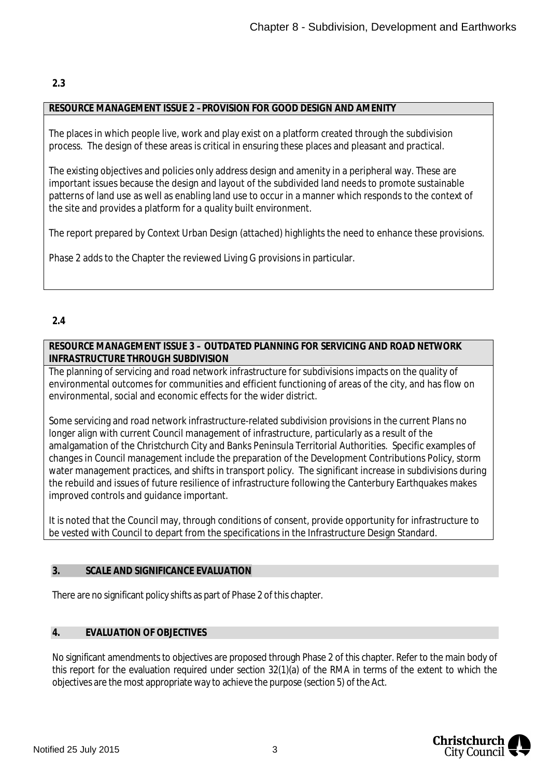## **2.3**

#### **RESOURCE MANAGEMENT ISSUE 2 –PROVISION FOR GOOD DESIGN AND AMENITY**

The places in which people live, work and play exist on a platform created through the subdivision process. The design of these areas is critical in ensuring these places and pleasant and practical.

The existing objectives and policies only address design and amenity in a peripheral way. These are important issues because the design and layout of the subdivided land needs to promote sustainable patterns of land use as well as enabling land use to occur in a manner which responds to the context of the site and provides a platform for a quality built environment.

The report prepared by Context Urban Design (attached) highlights the need to enhance these provisions.

Phase 2 adds to the Chapter the reviewed Living G provisions in particular.

## **2.4**

**RESOURCE MANAGEMENT ISSUE 3 – OUTDATED PLANNING FOR SERVICING AND ROAD NETWORK INFRASTRUCTURE THROUGH SUBDIVISION**

The planning of servicing and road network infrastructure for subdivisions impacts on the quality of environmental outcomes for communities and efficient functioning of areas of the city, and has flow on environmental, social and economic effects for the wider district.

Some servicing and road network infrastructure-related subdivision provisions in the current Plans no longer align with current Council management of infrastructure, particularly as a result of the amalgamation of the Christchurch City and Banks Peninsula Territorial Authorities. Specific examples of changes in Council management include the preparation of the Development Contributions Policy, storm water management practices, and shifts in transport policy. The significant increase in subdivisions during the rebuild and issues of future resilience of infrastructure following the Canterbury Earthquakes makes improved controls and guidance important.

It is noted that the Council may, through conditions of consent, provide opportunity for infrastructure to be vested with Council to depart from the specifications in the Infrastructure Design Standard.

#### <span id="page-3-0"></span>**3. SCALE AND SIGNIFICANCE EVALUATION**

There are no significant policy shifts as part of Phase 2 of this chapter.

#### <span id="page-3-1"></span>**4. EVALUATION OF OBJECTIVES**

No significant amendments to objectives are proposed through Phase 2 of this chapter. Refer to the main body of this report for the evaluation required under section 32(1)(a) of the RMA in terms of the extent to which the objectives are the most appropriate way to achieve the purpose (section 5) of the Act.

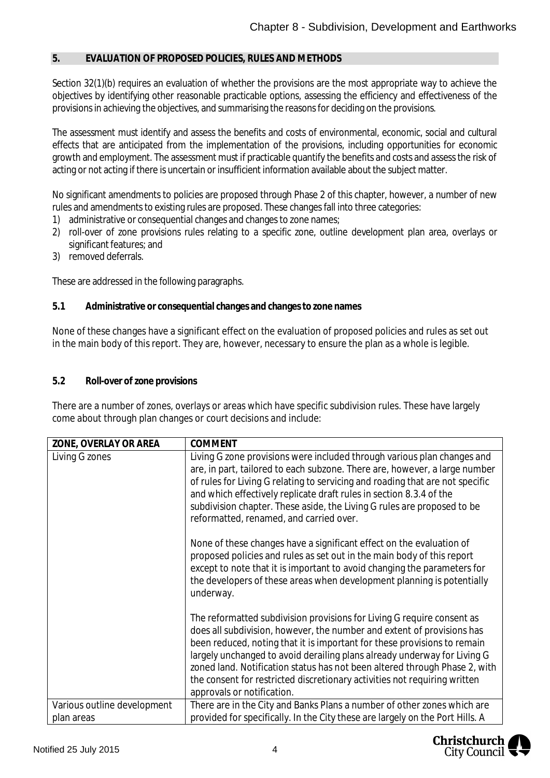#### <span id="page-4-0"></span>**5. EVALUATION OF PROPOSED POLICIES, RULES AND METHODS**

Section 32(1)(b) requires an evaluation of whether the provisions are the most appropriate way to achieve the objectives by identifying other reasonable practicable options, assessing the efficiency and effectiveness of the provisions in achieving the objectives, and summarising the reasons for deciding on the provisions.

The assessment must identify and assess the benefits and costs of environmental, economic, social and cultural effects that are anticipated from the implementation of the provisions, including opportunities for economic growth and employment. The assessment must if practicable quantify the benefits and costs and assess the risk of acting or not acting if there is uncertain or insufficient information available about the subject matter.

No significant amendments to policies are proposed through Phase 2 of this chapter, however, a number of new rules and amendments to existing rules are proposed. These changes fall into three categories:

- 1) administrative or consequential changes and changes to zone names;
- 2) roll-over of zone provisions rules relating to a specific zone, outline development plan area, overlays or significant features; and
- 3) removed deferrals.

These are addressed in the following paragraphs.

**5.1 Administrative or consequential changes and changes to zone names**

None of these changes have a significant effect on the evaluation of proposed policies and rules as set out in the main body of this report. They are, however, necessary to ensure the plan as a whole is legible.

**5.2 Roll-over of zone provisions**

There are a number of zones, overlays or areas which have specific subdivision rules. These have largely come about through plan changes or court decisions and include:

| ZONE, OVERLAY OR AREA                     | COMMENT                                                                                                                                                                                                                                                                                                                                                                                                                                                                                           |
|-------------------------------------------|---------------------------------------------------------------------------------------------------------------------------------------------------------------------------------------------------------------------------------------------------------------------------------------------------------------------------------------------------------------------------------------------------------------------------------------------------------------------------------------------------|
| Living G zones                            | Living G zone provisions were included through various plan changes and<br>are, in part, tailored to each subzone. There are, however, a large number<br>of rules for Living G relating to servicing and roading that are not specific<br>and which effectively replicate draft rules in section 8.3.4 of the<br>subdivision chapter. These aside, the Living G rules are proposed to be<br>reformatted, renamed, and carried over.                                                               |
|                                           | None of these changes have a significant effect on the evaluation of<br>proposed policies and rules as set out in the main body of this report<br>except to note that it is important to avoid changing the parameters for<br>the developers of these areas when development planning is potentially<br>underway.                                                                                                                                                                                 |
|                                           | The reformatted subdivision provisions for Living G require consent as<br>does all subdivision, however, the number and extent of provisions has<br>been reduced, noting that it is important for these provisions to remain<br>largely unchanged to avoid derailing plans already underway for Living G<br>zoned land. Notification status has not been altered through Phase 2, with<br>the consent for restricted discretionary activities not requiring written<br>approvals or notification. |
| Various outline development<br>plan areas | There are in the City and Banks Plans a number of other zones which are<br>provided for specifically. In the City these are largely on the Port Hills. A                                                                                                                                                                                                                                                                                                                                          |

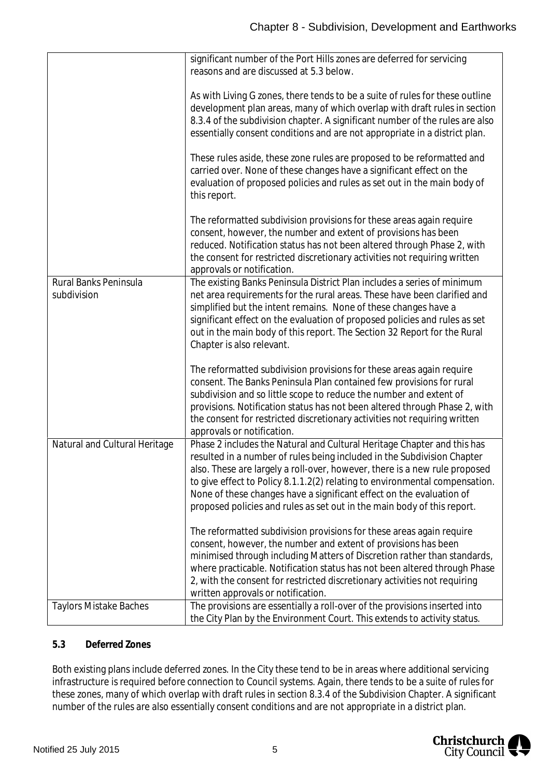|                               | significant number of the Port Hills zones are deferred for servicing        |
|-------------------------------|------------------------------------------------------------------------------|
|                               | reasons and are discussed at 5.3 below.                                      |
|                               |                                                                              |
|                               | As with Living G zones, there tends to be a suite of rules for these outline |
|                               | development plan areas, many of which overlap with draft rules in section    |
|                               | 8.3.4 of the subdivision chapter. A significant number of the rules are also |
|                               | essentially consent conditions and are not appropriate in a district plan.   |
|                               |                                                                              |
|                               | These rules aside, these zone rules are proposed to be reformatted and       |
|                               | carried over. None of these changes have a significant effect on the         |
|                               | evaluation of proposed policies and rules as set out in the main body of     |
|                               | this report.                                                                 |
|                               |                                                                              |
|                               | The reformatted subdivision provisions for these areas again require         |
|                               | consent, however, the number and extent of provisions has been               |
|                               |                                                                              |
|                               | reduced. Notification status has not been altered through Phase 2, with      |
|                               | the consent for restricted discretionary activities not requiring written    |
|                               | approvals or notification.                                                   |
| Rural Banks Peninsula         | The existing Banks Peninsula District Plan includes a series of minimum      |
| subdivision                   | net area requirements for the rural areas. These have been clarified and     |
|                               | simplified but the intent remains. None of these changes have a              |
|                               | significant effect on the evaluation of proposed policies and rules as set   |
|                               | out in the main body of this report. The Section 32 Report for the Rural     |
|                               | Chapter is also relevant.                                                    |
|                               |                                                                              |
|                               | The reformatted subdivision provisions for these areas again require         |
|                               | consent. The Banks Peninsula Plan contained few provisions for rural         |
|                               | subdivision and so little scope to reduce the number and extent of           |
|                               | provisions. Notification status has not been altered through Phase 2, with   |
|                               | the consent for restricted discretionary activities not requiring written    |
|                               | approvals or notification.                                                   |
| Natural and Cultural Heritage | Phase 2 includes the Natural and Cultural Heritage Chapter and this has      |
|                               | resulted in a number of rules being included in the Subdivision Chapter      |
|                               | also. These are largely a roll-over, however, there is a new rule proposed   |
|                               | to give effect to Policy 8.1.1.2(2) relating to environmental compensation.  |
|                               | None of these changes have a significant effect on the evaluation of         |
|                               | proposed policies and rules as set out in the main body of this report.      |
|                               |                                                                              |
|                               | The reformatted subdivision provisions for these areas again require         |
|                               |                                                                              |
|                               | consent, however, the number and extent of provisions has been               |
|                               | minimised through including Matters of Discretion rather than standards,     |
|                               | where practicable. Notification status has not been altered through Phase    |
|                               | 2, with the consent for restricted discretionary activities not requiring    |
|                               | written approvals or notification.                                           |
| <b>Taylors Mistake Baches</b> | The provisions are essentially a roll-over of the provisions inserted into   |
|                               | the City Plan by the Environment Court. This extends to activity status.     |

#### **5.3 Deferred Zones**

Both existing plans include deferred zones. In the City these tend to be in areas where additional servicing infrastructure is required before connection to Council systems. Again, there tends to be a suite of rules for these zones, many of which overlap with draft rules in section 8.3.4 of the Subdivision Chapter. A significant number of the rules are also essentially consent conditions and are not appropriate in a district plan.